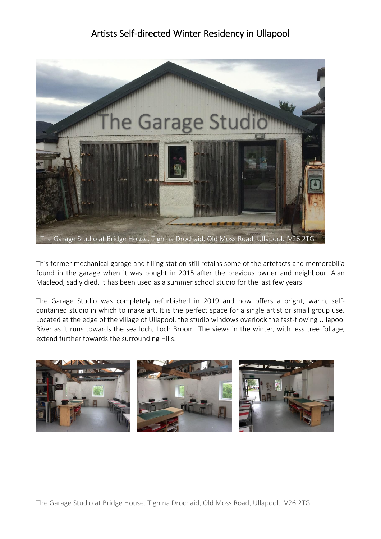## Artists Self-directed Winter Residency in Ullapool



This former mechanical garage and filling station still retains some of the artefacts and memorabilia found in the garage when it was bought in 2015 after the previous owner and neighbour, Alan Macleod, sadly died. It has been used as a summer school studio for the last few years.

The Garage Studio was completely refurbished in 2019 and now offers a bright, warm, selfcontained studio in which to make art. It is the perfect space for a single artist or small group use. Located at the edge of the village of Ullapool, the studio windows overlook the fast-flowing Ullapool River as it runs towards the sea loch, Loch Broom. The views in the winter, with less tree foliage, extend further towards the surrounding Hills.

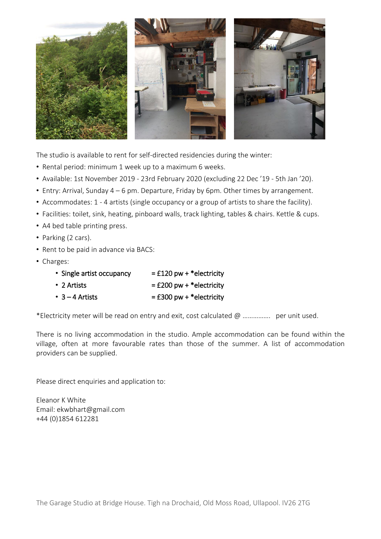

The studio is available to rent for self-directed residencies during the winter:

- Rental period: minimum 1 week up to a maximum 6 weeks.
- Available: 1st November 2019 23rd February 2020 (excluding 22 Dec '19 5th Jan '20).
- Entry: Arrival, Sunday 4 6 pm. Departure, Friday by 6pm. Other times by arrangement.
- Accommodates: 1 4 artists (single occupancy or a group of artists to share the facility).
- Facilities: toilet, sink, heating, pinboard walls, track lighting, tables & chairs. Kettle & cups.
- A4 bed table printing press.
- Parking (2 cars).
- Rent to be paid in advance via BACS:
- Charges:

| • Single artist occupancy | $=$ £120 pw + * electricity |
|---------------------------|-----------------------------|
| $\cdot$ 2 Artists         | $=$ £200 pw + * electricity |
| $\cdot$ 3 – 4 Artists     | $=$ £300 pw + *electricity  |

\*Electricity meter will be read on entry and exit, cost calculated @ ……………. per unit used.

There is no living accommodation in the studio. Ample accommodation can be found within the village, often at more favourable rates than those of the summer. A list of accommodation providers can be supplied.

Please direct enquiries and application to:

Eleanor K White Email: [ekwbhart@gmail.com](mailto:ekwbhart@gmail.com) +44 (0)1854 612281